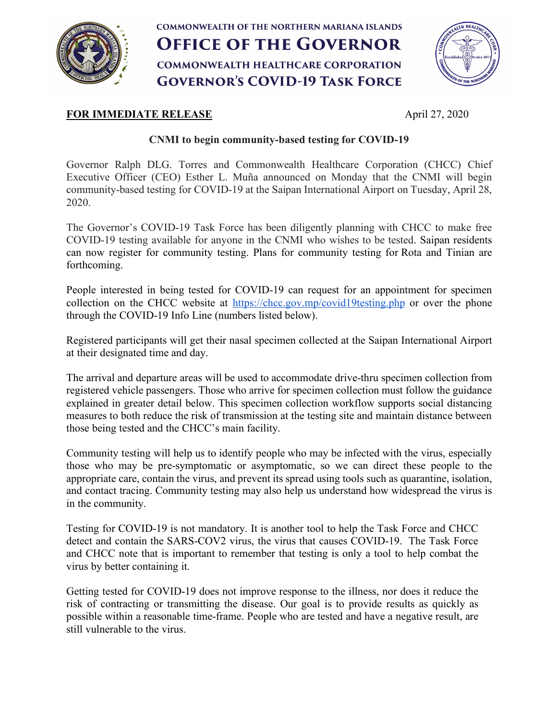

# **COMMONWEALTH OF THE NORTHERN MARIANA ISLANDS OFFICE OF THE GOVERNOR COMMONWEALTH HEALTHCARE CORPORATION GOVERNOR'S COVID-19 TASK FORCE**



# **FOR IMMEDIATE RELEASE** April 27, 2020

## **CNMI to begin community-based testing for COVID-19**

Governor Ralph DLG. Torres and Commonwealth Healthcare Corporation (CHCC) Chief Executive Officer (CEO) Esther L. Muña announced on Monday that the CNMI will begin community-based testing for COVID-19 at the Saipan International Airport on Tuesday, April 28, 2020.

The Governor's COVID-19 Task Force has been diligently planning with CHCC to make free COVID-19 testing available for anyone in the CNMI who wishes to be tested. Saipan residents can now register for community testing. Plans for community testing for Rota and Tinian are forthcoming.

People interested in being tested for COVID-19 can request for an appointment for specimen collection on the CHCC website at https://chcc.gov.mp/covid19testing.php or over the phone through the COVID-19 Info Line (numbers listed below).

Registered participants will get their nasal specimen collected at the Saipan International Airport at their designated time and day.

The arrival and departure areas will be used to accommodate drive-thru specimen collection from registered vehicle passengers. Those who arrive for specimen collection must follow the guidance explained in greater detail below. This specimen collection workflow supports social distancing measures to both reduce the risk of transmission at the testing site and maintain distance between those being tested and the CHCC's main facility.

Community testing will help us to identify people who may be infected with the virus, especially those who may be pre-symptomatic or asymptomatic, so we can direct these people to the appropriate care, contain the virus, and prevent its spread using tools such as quarantine, isolation, and contact tracing. Community testing may also help us understand how widespread the virus is in the community.

Testing for COVID-19 is not mandatory. It is another tool to help the Task Force and CHCC detect and contain the SARS-COV2 virus, the virus that causes COVID-19. The Task Force and CHCC note that is important to remember that testing is only a tool to help combat the virus by better containing it.

Getting tested for COVID-19 does not improve response to the illness, nor does it reduce the risk of contracting or transmitting the disease. Our goal is to provide results as quickly as possible within a reasonable time-frame. People who are tested and have a negative result, are still vulnerable to the virus.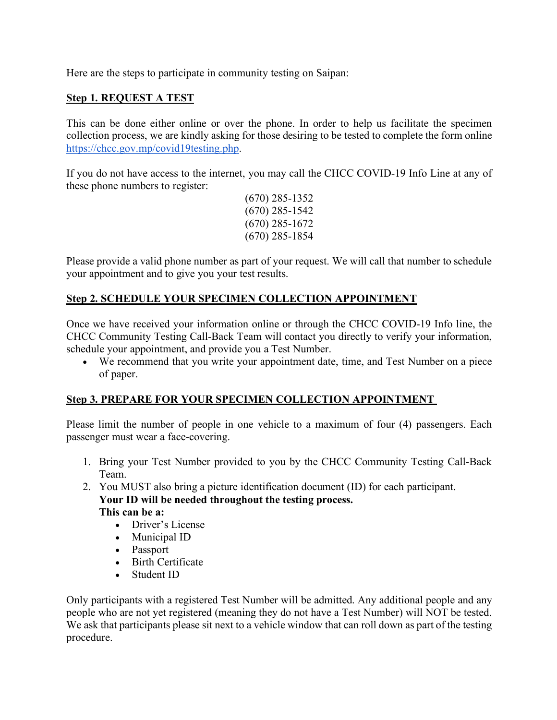Here are the steps to participate in community testing on Saipan:

## **Step 1. REQUEST A TEST**

This can be done either online or over the phone. In order to help us facilitate the specimen collection process, we are kindly asking for those desiring to be tested to complete the form online https://chcc.gov.mp/covid19testing.php.

If you do not have access to the internet, you may call the CHCC COVID-19 Info Line at any of these phone numbers to register:

(670) 285-1352 (670) 285-1542 (670) 285-1672 (670) 285-1854

Please provide a valid phone number as part of your request. We will call that number to schedule your appointment and to give you your test results.

## **Step 2. SCHEDULE YOUR SPECIMEN COLLECTION APPOINTMENT**

Once we have received your information online or through the CHCC COVID-19 Info line, the CHCC Community Testing Call-Back Team will contact you directly to verify your information, schedule your appointment, and provide you a Test Number.

• We recommend that you write your appointment date, time, and Test Number on a piece of paper.

#### **Step 3. PREPARE FOR YOUR SPECIMEN COLLECTION APPOINTMENT**

Please limit the number of people in one vehicle to a maximum of four (4) passengers. Each passenger must wear a face-covering.

1. Bring your Test Number provided to you by the CHCC Community Testing Call-Back Team.

2. You MUST also bring a picture identification document (ID) for each participant. **Your ID will be needed throughout the testing process. This can be a:**

- Driver's License
- Municipal ID
- Passport
- Birth Certificate
- Student ID

Only participants with a registered Test Number will be admitted. Any additional people and any people who are not yet registered (meaning they do not have a Test Number) will NOT be tested. We ask that participants please sit next to a vehicle window that can roll down as part of the testing procedure.